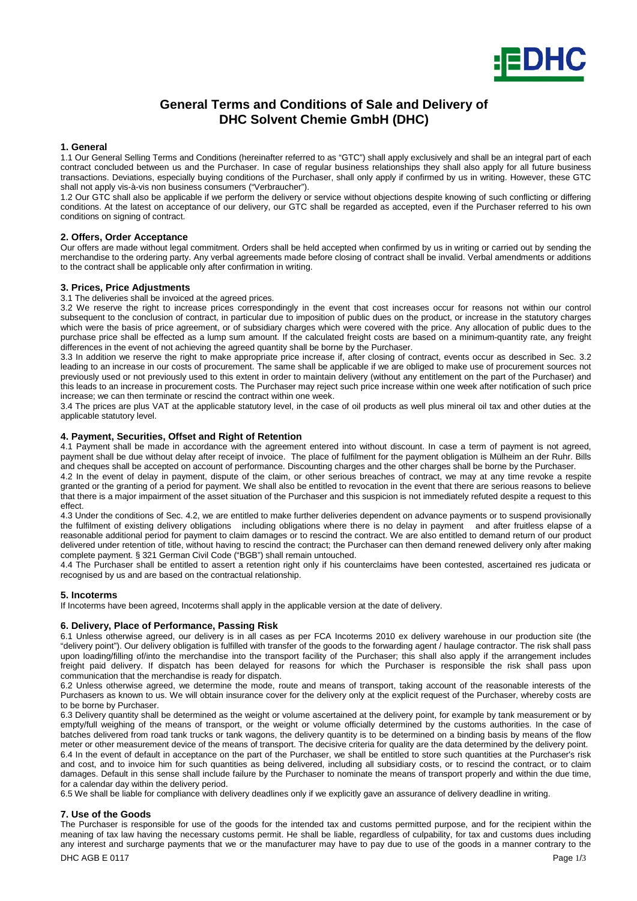

# **General Terms and Conditions of Sale and Delivery of DHC Solvent Chemie GmbH (DHC)**

## **1. General**

1.1 Our General Selling Terms and Conditions (hereinafter referred to as "GTC") shall apply exclusively and shall be an integral part of each contract concluded between us and the Purchaser. In case of regular business relationships they shall also apply for all future business transactions. Deviations, especially buying conditions of the Purchaser, shall only apply if confirmed by us in writing. However, these GTC shall not apply vis-à-vis non business consumers ("Verbraucher").

1.2 Our GTC shall also be applicable if we perform the delivery or service without objections despite knowing of such conflicting or differing conditions. At the latest on acceptance of our delivery, our GTC shall be regarded as accepted, even if the Purchaser referred to his own conditions on signing of contract.

# **2. Offers, Order Acceptance**

Our offers are made without legal commitment. Orders shall be held accepted when confirmed by us in writing or carried out by sending the merchandise to the ordering party. Any verbal agreements made before closing of contract shall be invalid. Verbal amendments or additions to the contract shall be applicable only after confirmation in writing.

# **3. Prices, Price Adjustments**

3.1 The deliveries shall be invoiced at the agreed prices.

3.2 We reserve the right to increase prices correspondingly in the event that cost increases occur for reasons not within our control subsequent to the conclusion of contract, in particular due to imposition of public dues on the product, or increase in the statutory charges which were the basis of price agreement, or of subsidiary charges which were covered with the price. Any allocation of public dues to the purchase price shall be effected as a lump sum amount. If the calculated freight costs are based on a minimum-quantity rate, any freight differences in the event of not achieving the agreed quantity shall be borne by the Purchaser.

3.3 In addition we reserve the right to make appropriate price increase if, after closing of contract, events occur as described in Sec. 3.2 leading to an increase in our costs of procurement. The same shall be applicable if we are obliged to make use of procurement sources not previously used or not previously used to this extent in order to maintain delivery (without any entitlement on the part of the Purchaser) and this leads to an increase in procurement costs. The Purchaser may reject such price increase within one week after notification of such price increase; we can then terminate or rescind the contract within one week.

3.4 The prices are plus VAT at the applicable statutory level, in the case of oil products as well plus mineral oil tax and other duties at the applicable statutory level.

# **4. Payment, Securities, Offset and Right of Retention**

4.1 Payment shall be made in accordance with the agreement entered into without discount. In case a term of payment is not agreed, payment shall be due without delay after receipt of invoice. The place of fulfilment for the payment obligation is Mülheim an der Ruhr. Bills and cheques shall be accepted on account of performance. Discounting charges and the other charges shall be borne by the Purchaser.

4.2 In the event of delay in payment, dispute of the claim, or other serious breaches of contract, we may at any time revoke a respite granted or the granting of a period for payment. We shall also be entitled to revocation in the event that there are serious reasons to believe that there is a major impairment of the asset situation of the Purchaser and this suspicion is not immediately refuted despite a request to this effect.

4.3 Under the conditions of Sec. 4.2, we are entitled to make further deliveries dependent on advance payments or to suspend provisionally the fulfilment of existing delivery obligations including obligations where there is no delay in payment and after fruitless elapse of a reasonable additional period for payment to claim damages or to rescind the contract. We are also entitled to demand return of our product delivered under retention of title, without having to rescind the contract; the Purchaser can then demand renewed delivery only after making complete payment. § 321 German Civil Code ("BGB") shall remain untouched.

4.4 The Purchaser shall be entitled to assert a retention right only if his counterclaims have been contested, ascertained res judicata or recognised by us and are based on the contractual relationship.

## **5. Incoterms**

If Incoterms have been agreed, Incoterms shall apply in the applicable version at the date of delivery.

# **6. Delivery, Place of Performance, Passing Risk**

6.1 Unless otherwise agreed, our delivery is in all cases as per FCA Incoterms 2010 ex delivery warehouse in our production site (the "delivery point"). Our delivery obligation is fulfilled with transfer of the goods to the forwarding agent / haulage contractor. The risk shall pass upon loading/filling of/into the merchandise into the transport facility of the Purchaser; this shall also apply if the arrangement includes freight paid delivery. If dispatch has been delayed for reasons for which the Purchaser is responsible the risk shall pass upon communication that the merchandise is ready for dispatch.

6.2 Unless otherwise agreed, we determine the mode, route and means of transport, taking account of the reasonable interests of the Purchasers as known to us. We will obtain insurance cover for the delivery only at the explicit request of the Purchaser, whereby costs are to be borne by Purchaser.

6.3 Delivery quantity shall be determined as the weight or volume ascertained at the delivery point, for example by tank measurement or by empty/full weighing of the means of transport, or the weight or volume officially determined by the customs authorities. In the case of batches delivered from road tank trucks or tank wagons, the delivery quantity is to be determined on a binding basis by means of the flow meter or other measurement device of the means of transport. The decisive criteria for quality are the data determined by the delivery point. 6.4 In the event of default in acceptance on the part of the Purchaser, we shall be entitled to store such quantities at the Purchaser's risk and cost, and to invoice him for such quantities as being delivered, including all subsidiary costs, or to rescind the contract, or to claim damages. Default in this sense shall include failure by the Purchaser to nominate the means of transport properly and within the due time, for a calendar day within the delivery period.

6.5 We shall be liable for compliance with delivery deadlines only if we explicitly gave an assurance of delivery deadline in writing.

# **7. Use of the Goods**

The Purchaser is responsible for use of the goods for the intended tax and customs permitted purpose, and for the recipient within the meaning of tax law having the necessary customs permit. He shall be liable, regardless of culpability, for tax and customs dues including any interest and surcharge payments that we or the manufacturer may have to pay due to use of the goods in a manner contrary to the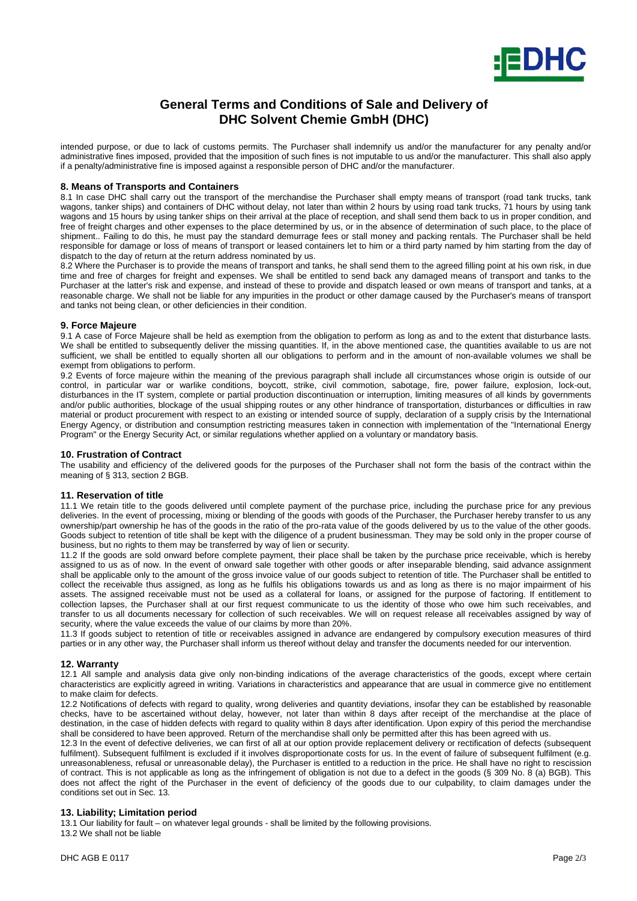

# **General Terms and Conditions of Sale and Delivery of DHC Solvent Chemie GmbH (DHC)**

intended purpose, or due to lack of customs permits. The Purchaser shall indemnify us and/or the manufacturer for any penalty and/or administrative fines imposed, provided that the imposition of such fines is not imputable to us and/or the manufacturer. This shall also apply if a penalty/administrative fine is imposed against a responsible person of DHC and/or the manufacturer.

#### **8. Means of Transports and Containers**

8.1 In case DHC shall carry out the transport of the merchandise the Purchaser shall empty means of transport (road tank trucks, tank wagons, tanker ships) and containers of DHC without delay, not later than within 2 hours by using road tank trucks, 71 hours by using tank wagons and 15 hours by using tanker ships on their arrival at the place of reception, and shall send them back to us in proper condition, and free of freight charges and other expenses to the place determined by us, or in the absence of determination of such place, to the place of shipment.. Failing to do this, he must pay the standard demurrage fees or stall money and packing rentals. The Purchaser shall be held responsible for damage or loss of means of transport or leased containers let to him or a third party named by him starting from the day of dispatch to the day of return at the return address nominated by us.

8.2 Where the Purchaser is to provide the means of transport and tanks, he shall send them to the agreed filling point at his own risk, in due time and free of charges for freight and expenses. We shall be entitled to send back any damaged means of transport and tanks to the Purchaser at the latter's risk and expense, and instead of these to provide and dispatch leased or own means of transport and tanks, at a reasonable charge. We shall not be liable for any impurities in the product or other damage caused by the Purchaser's means of transport and tanks not being clean, or other deficiencies in their condition.

## **9. Force Majeure**

9.1 A case of Force Majeure shall be held as exemption from the obligation to perform as long as and to the extent that disturbance lasts. We shall be entitled to subsequently deliver the missing quantities. If, in the above mentioned case, the quantities available to us are not sufficient, we shall be entitled to equally shorten all our obligations to perform and in the amount of non-available volumes we shall be exempt from obligations to perform.

9.2 Events of force majeure within the meaning of the previous paragraph shall include all circumstances whose origin is outside of our control, in particular war or warlike conditions, boycott, strike, civil commotion, sabotage, fire, power failure, explosion, lock-out, disturbances in the IT system, complete or partial production discontinuation or interruption, limiting measures of all kinds by governments and/or public authorities, blockage of the usual shipping routes or any other hindrance of transportation, disturbances or difficulties in raw material or product procurement with respect to an existing or intended source of supply, declaration of a supply crisis by the International Energy Agency, or distribution and consumption restricting measures taken in connection with implementation of the "International Energy Program" or the Energy Security Act, or similar regulations whether applied on a voluntary or mandatory basis.

#### **10. Frustration of Contract**

The usability and efficiency of the delivered goods for the purposes of the Purchaser shall not form the basis of the contract within the meaning of § 313, section 2 BGB.

## **11. Reservation of title**

11.1 We retain title to the goods delivered until complete payment of the purchase price, including the purchase price for any previous deliveries. In the event of processing, mixing or blending of the goods with goods of the Purchaser, the Purchaser hereby transfer to us any ownership/part ownership he has of the goods in the ratio of the pro-rata value of the goods delivered by us to the value of the other goods. Goods subject to retention of title shall be kept with the diligence of a prudent businessman. They may be sold only in the proper course of business, but no rights to them may be transferred by way of lien or security.

11.2 If the goods are sold onward before complete payment, their place shall be taken by the purchase price receivable, which is hereby assigned to us as of now. In the event of onward sale together with other goods or after inseparable blending, said advance assignment shall be applicable only to the amount of the gross invoice value of our goods subject to retention of title. The Purchaser shall be entitled to collect the receivable thus assigned, as long as he fulfils his obligations towards us and as long as there is no major impairment of his assets. The assigned receivable must not be used as a collateral for loans, or assigned for the purpose of factoring. If entitlement to collection lapses, the Purchaser shall at our first request communicate to us the identity of those who owe him such receivables, and transfer to us all documents necessary for collection of such receivables. We will on request release all receivables assigned by way of security, where the value exceeds the value of our claims by more than 20%.

11.3 If goods subject to retention of title or receivables assigned in advance are endangered by compulsory execution measures of third parties or in any other way, the Purchaser shall inform us thereof without delay and transfer the documents needed for our intervention.

#### **12. Warranty**

12.1 All sample and analysis data give only non-binding indications of the average characteristics of the goods, except where certain characteristics are explicitly agreed in writing. Variations in characteristics and appearance that are usual in commerce give no entitlement to make claim for defects.

12.2 Notifications of defects with regard to quality, wrong deliveries and quantity deviations, insofar they can be established by reasonable checks, have to be ascertained without delay, however, not later than within 8 days after receipt of the merchandise at the place of destination, in the case of hidden defects with regard to quality within 8 days after identification. Upon expiry of this period the merchandise shall be considered to have been approved. Return of the merchandise shall only be permitted after this has been agreed with us.

12.3 In the event of defective deliveries, we can first of all at our option provide replacement delivery or rectification of defects (subsequent fulfilment). Subsequent fulfilment is excluded if it involves disproportionate costs for us. In the event of failure of subsequent fulfilment (e.g. unreasonableness, refusal or unreasonable delay), the Purchaser is entitled to a reduction in the price. He shall have no right to rescission of contract. This is not applicable as long as the infringement of obligation is not due to a defect in the goods (§ 309 No. 8 (a) BGB). This does not affect the right of the Purchaser in the event of deficiency of the goods due to our culpability, to claim damages under the conditions set out in Sec. 13.

## **13. Liability; Limitation period**

13.1 Our liability for fault – on whatever legal grounds - shall be limited by the following provisions. 13.2 We shall not be liable